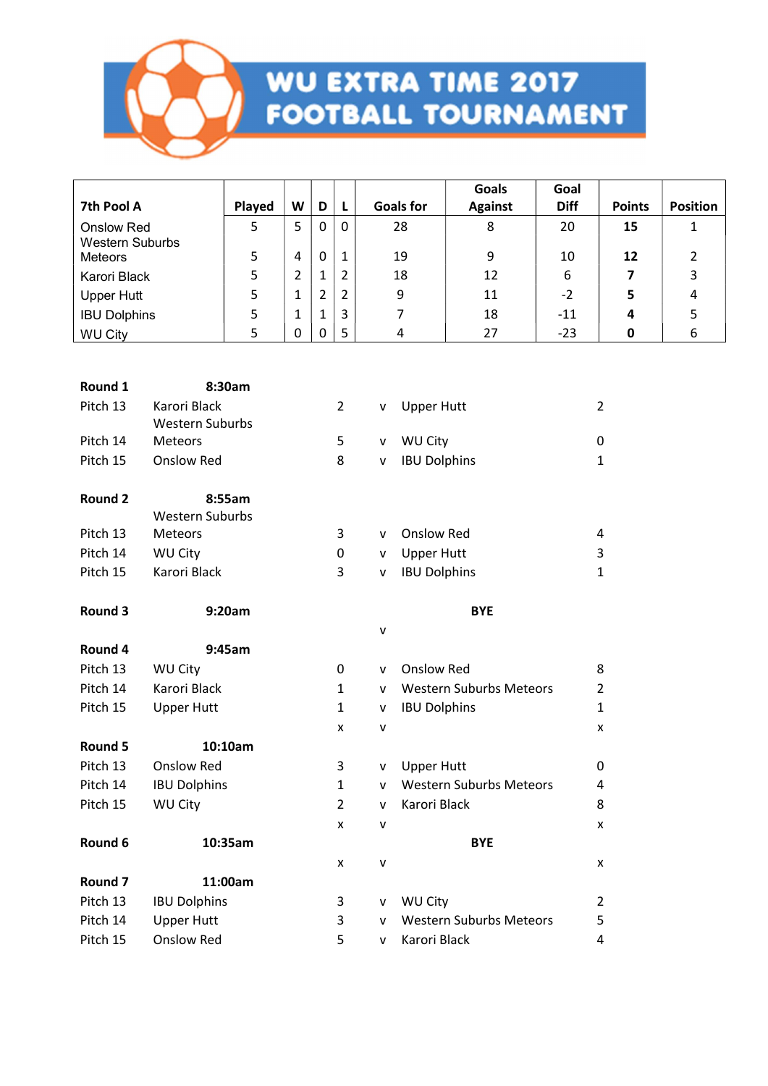

| <b>Goals for</b><br>7th Pool A<br>Played<br>W<br>D<br>$\mathsf{L}$<br><b>Against</b><br><b>Diff</b><br><b>Points</b><br><b>Position</b><br>5<br>5<br>$\mathbf 0$<br>28<br>8<br>0<br>20<br>15<br>$\mathbf{1}$<br><b>Onslow Red</b> |  |
|-----------------------------------------------------------------------------------------------------------------------------------------------------------------------------------------------------------------------------------|--|
|                                                                                                                                                                                                                                   |  |
| <b>Western Suburbs</b>                                                                                                                                                                                                            |  |
| 9<br>5<br>$\mathbf{1}$<br>19<br>4<br>0<br>10<br>12<br>$\overline{2}$<br>Meteors                                                                                                                                                   |  |
| 5<br>$\overline{2}$<br>3<br>$\overline{2}$<br>18<br>12<br>6<br>7<br>Karori Black<br>$\mathbf{1}$                                                                                                                                  |  |
| 5<br>$\overline{2}$<br>$\overline{2}$<br>9<br>11<br>$-2$<br>$\mathbf{1}$<br>5<br>4<br><b>Upper Hutt</b>                                                                                                                           |  |
| 5<br>3<br>$\overline{7}$<br>18<br>5<br>$\mathbf{1}$<br>$-11$<br>4<br>$\mathbf{1}$<br><b>IBU Dolphins</b>                                                                                                                          |  |
| 5<br>5<br>6<br>0<br>27<br>$-23$<br><b>WU City</b><br>0<br>4<br>0                                                                                                                                                                  |  |
|                                                                                                                                                                                                                                   |  |
| 8:30am<br>Round 1                                                                                                                                                                                                                 |  |
| Pitch 13<br>Karori Black<br>$\overline{2}$<br>$\overline{2}$<br><b>Upper Hutt</b><br>v                                                                                                                                            |  |
| <b>Western Suburbs</b>                                                                                                                                                                                                            |  |
| WU City<br>Pitch 14<br>5<br>Meteors<br>0<br>v                                                                                                                                                                                     |  |
| <b>Onslow Red</b><br>Pitch 15<br>8<br><b>IBU Dolphins</b><br>$\mathbf{1}$<br>v                                                                                                                                                    |  |
|                                                                                                                                                                                                                                   |  |
| <b>Round 2</b><br>8:55am<br><b>Western Suburbs</b>                                                                                                                                                                                |  |
| Pitch 13<br><b>Onslow Red</b><br>Meteors<br>3<br>4<br>v                                                                                                                                                                           |  |
| Pitch 14<br><b>WU City</b><br><b>Upper Hutt</b><br>0<br>3<br>v                                                                                                                                                                    |  |
| Karori Black<br><b>IBU Dolphins</b><br>Pitch 15<br>3<br>$\mathbf{1}$<br>v                                                                                                                                                         |  |
|                                                                                                                                                                                                                                   |  |
| Round 3<br>9:20am<br><b>BYE</b>                                                                                                                                                                                                   |  |
| $\mathsf{V}$                                                                                                                                                                                                                      |  |
| Round 4<br>9:45am                                                                                                                                                                                                                 |  |
| Pitch 13<br><b>WU City</b><br><b>Onslow Red</b><br>8<br>0<br>v                                                                                                                                                                    |  |
| Pitch 14<br>Karori Black<br><b>Western Suburbs Meteors</b><br>$\overline{2}$<br>$\mathbf{1}$<br>v                                                                                                                                 |  |
| Pitch 15<br><b>Upper Hutt</b><br><b>IBU Dolphins</b><br>$\mathbf{1}$<br>$\mathbf{1}$<br>v                                                                                                                                         |  |
| X<br>v<br>X                                                                                                                                                                                                                       |  |
| 10:10am<br>Round 5                                                                                                                                                                                                                |  |
| Onslow Red<br>Pitch 13<br><b>Upper Hutt</b><br>3<br>0<br>v                                                                                                                                                                        |  |
| <b>Western Suburbs Meteors</b><br>Pitch 14<br><b>IBU Dolphins</b><br>1<br>4<br>v                                                                                                                                                  |  |
| Pitch 15<br>WU City<br>Karori Black<br>8<br>$\overline{2}$<br>v                                                                                                                                                                   |  |
| $\pmb{\mathsf{X}}$<br>v<br>X                                                                                                                                                                                                      |  |
| Round 6<br>10:35am<br><b>BYE</b>                                                                                                                                                                                                  |  |
| V<br>X<br>X                                                                                                                                                                                                                       |  |
| Round 7<br>11:00am<br>Pitch 13                                                                                                                                                                                                    |  |
| <b>IBU Dolphins</b><br>WU City<br>$\overline{2}$<br>3<br>v<br>Pitch 14<br><b>Upper Hutt</b><br><b>Western Suburbs Meteors</b><br>5<br>3                                                                                           |  |
| v<br>Pitch 15<br>Onslow Red<br>Karori Black<br>5<br>4<br>v                                                                                                                                                                        |  |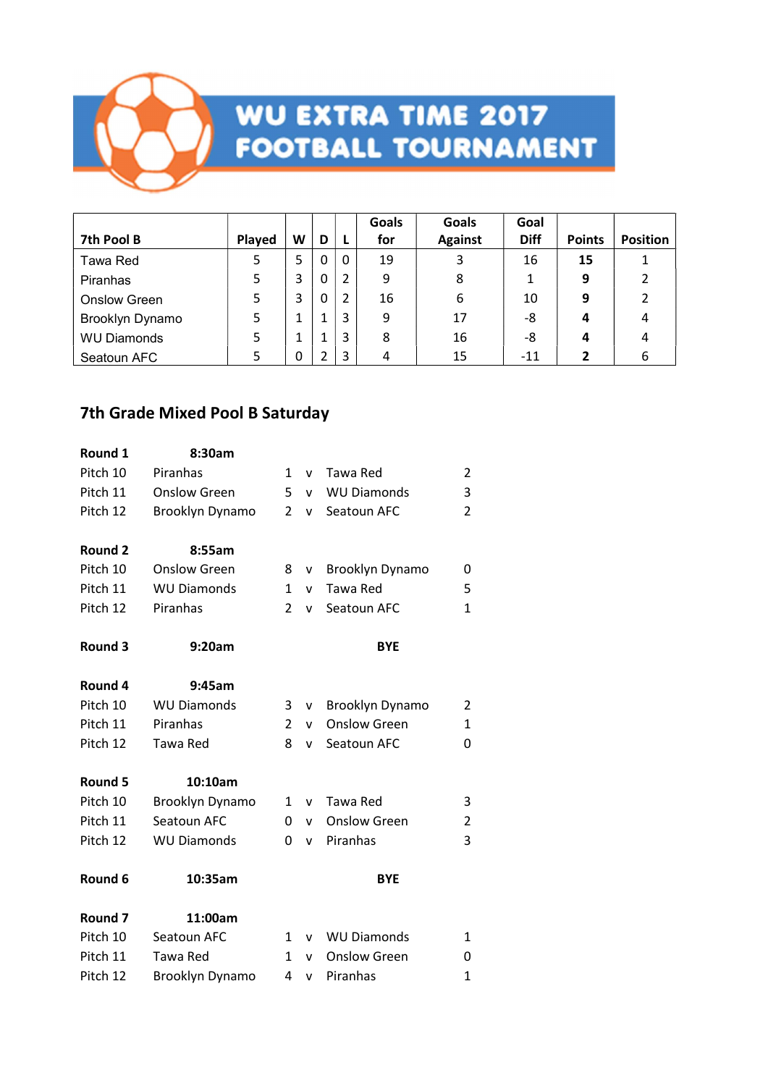

|                     |        |   |   |   | Goals | <b>Goals</b>   | Goal        |               |                 |
|---------------------|--------|---|---|---|-------|----------------|-------------|---------------|-----------------|
| 7th Pool B          | Played | W | D |   | for   | <b>Against</b> | <b>Diff</b> | <b>Points</b> | <b>Position</b> |
| Tawa Red            | 5      | 5 |   | 0 | 19    | 3              | 16          | 15            |                 |
| <b>Piranhas</b>     | 5      |   | 0 | 2 | 9     | 8              | 1           | 9             | $\overline{2}$  |
| <b>Onslow Green</b> | 5      | 3 |   | 2 | 16    | 6              | 10          | 9             |                 |
| Brooklyn Dynamo     | 5      |   |   | 3 | 9     | 17             | -8          | 4             | 4               |
| <b>WU Diamonds</b>  | 5      |   |   | 3 | 8     | 16             | -8          | 4             | 4               |
| Seatoun AFC         | 5      |   |   | 3 | 4     | 15             | $-11$       |               | 6               |

### 7th Grade Mixed Pool B Saturday

| Round 1            | 8:30am              |                |              |                     |                |
|--------------------|---------------------|----------------|--------------|---------------------|----------------|
| Pitch 10           | Piranhas            | 1              | v            | Tawa Red            | 2              |
| Pitch 11           | <b>Onslow Green</b> | 5              | v            | <b>WU Diamonds</b>  | 3              |
| Pitch 12           | Brooklyn Dynamo     | $\overline{2}$ | $\mathsf{v}$ | Seatoun AFC         | $\overline{2}$ |
| Round 2            | 8:55am              |                |              |                     |                |
| Pitch 10           | <b>Onslow Green</b> | 8              | $\mathsf{v}$ | Brooklyn Dynamo     | 0              |
| Pitch 11           | <b>WU Diamonds</b>  | $\mathbf{1}$   | $\mathsf{v}$ | <b>Tawa Red</b>     | 5              |
| Pitch 12           | Piranhas            | $\overline{2}$ | $\mathsf{v}$ | Seatoun AFC         | $\mathbf{1}$   |
| <b>Round 3</b>     | 9:20am              |                |              | <b>BYE</b>          |                |
| Round 4            | 9:45am              |                |              |                     |                |
| Pitch 10           | <b>WU Diamonds</b>  | 3              | v            | Brooklyn Dynamo     | 2              |
| Pitch 11           | Piranhas            | $\overline{2}$ | v            | <b>Onslow Green</b> | $\mathbf{1}$   |
| Pitch 12           | Tawa Red            | 8              | $\mathsf{v}$ | Seatoun AFC         | 0              |
| Round 5            | 10:10am             |                |              |                     |                |
| Pitch 10           | Brooklyn Dynamo     | 1              | v            | Tawa Red            | 3              |
| Pitch 11           | Seatoun AFC         | $\Omega$       | v            | <b>Onslow Green</b> | 2              |
| Pitch 12           | <b>WU Diamonds</b>  | $\Omega$       | $\mathsf{v}$ | Piranhas            | 3              |
| Round 6            | 10:35am             |                |              | <b>BYE</b>          |                |
| Round <sub>7</sub> | 11:00am             |                |              |                     |                |
| Pitch 10           | Seatoun AFC         | $\mathbf{1}$   | v            | <b>WU Diamonds</b>  | 1              |
| Pitch 11           | Tawa Red            | 1              | v            | <b>Onslow Green</b> | 0              |
| Pitch 12           | Brooklyn Dynamo     | 4              | $\mathsf{v}$ | Piranhas            | $\mathbf{1}$   |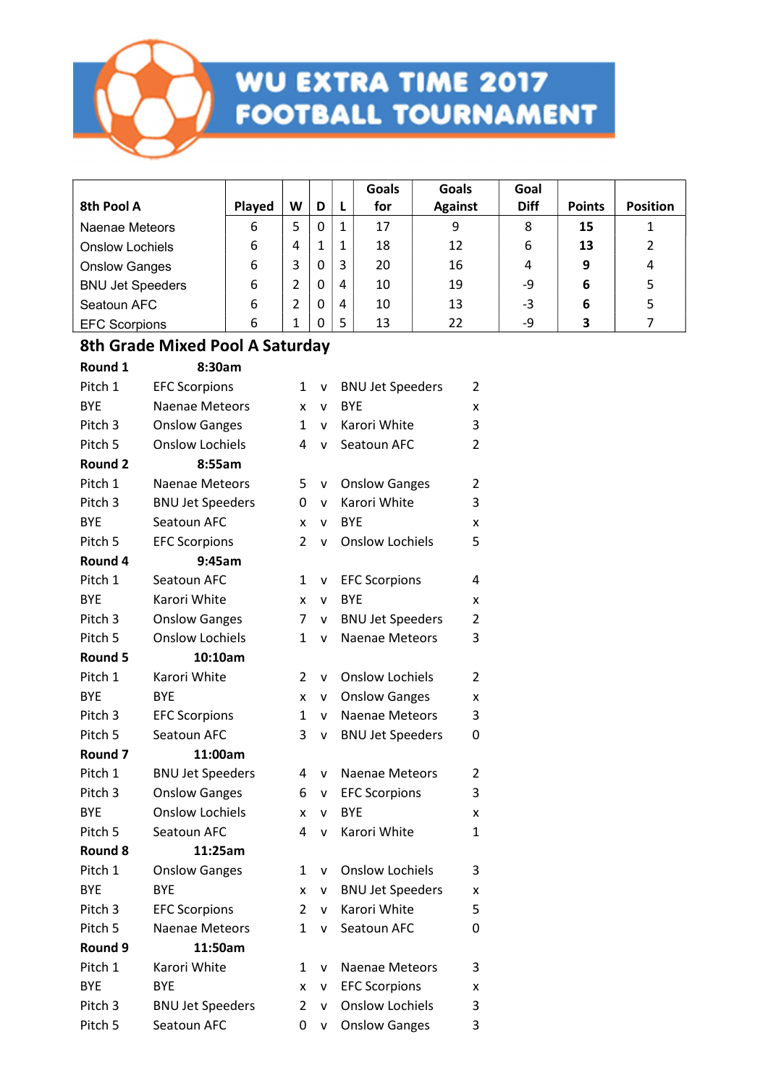

|                         |        |   |   |   | Goals | Goals          | Goal        |               |                 |
|-------------------------|--------|---|---|---|-------|----------------|-------------|---------------|-----------------|
| 8th Pool A              | Played | W | D |   | for   | <b>Against</b> | <b>Diff</b> | <b>Points</b> | <b>Position</b> |
| Naenae Meteors          | 6      | 5 | 0 |   | 17    | 9              | 8           | 15            |                 |
| <b>Onslow Lochiels</b>  | 6      | 4 |   |   | 18    | 12             | 6           | 13            | 2               |
| <b>Onslow Ganges</b>    | 6      | 3 | 0 |   | 20    | 16             | 4           | 9             | 4               |
| <b>BNU Jet Speeders</b> | 6      | າ | 0 | 4 | 10    | 19             | -9          | 6             |                 |
| Seatoun AFC             | 6      | 2 | 0 | 4 | 10    | 13             | -3          | 6             |                 |
| <b>EFC Scorpions</b>    | 6      |   | 0 |   | 13    | 22             | -9          | 3             |                 |

#### 8th Grade Mixed Pool A Saturday Round 1 8:30am

| <b>NOUIIU 1</b>    | o.ɔʋaɪɪɪ                |                |              |                         |                |
|--------------------|-------------------------|----------------|--------------|-------------------------|----------------|
| Pitch 1            | <b>EFC Scorpions</b>    | 1              | v            | <b>BNU Jet Speeders</b> | 2              |
| <b>BYE</b>         | <b>Naenae Meteors</b>   | x              | $\mathsf{v}$ | <b>BYE</b>              | x              |
| Pitch 3            | <b>Onslow Ganges</b>    | $\mathbf{1}$   | $\mathsf{v}$ | Karori White            | 3              |
| Pitch 5            | <b>Onslow Lochiels</b>  | 4              | $\mathsf{v}$ | Seatoun AFC             | $\overline{2}$ |
| <b>Round 2</b>     | 8:55am                  |                |              |                         |                |
| Pitch 1            | <b>Naenae Meteors</b>   | 5              | v            | <b>Onslow Ganges</b>    | 2              |
| Pitch 3            | <b>BNU Jet Speeders</b> | 0              | $\mathsf{v}$ | Karori White            | 3              |
| <b>BYE</b>         | Seatoun AFC             | X              | v            | <b>BYE</b>              | x              |
| Pitch 5            | <b>EFC Scorpions</b>    | $\overline{2}$ | v            | <b>Onslow Lochiels</b>  | 5              |
| Round 4            | 9:45am                  |                |              |                         |                |
| Pitch 1            | Seatoun AFC             | 1              | v            | <b>EFC Scorpions</b>    | 4              |
| <b>BYE</b>         | Karori White            | x              | v            | <b>BYE</b>              | x              |
| Pitch 3            | <b>Onslow Ganges</b>    | 7              | v            | <b>BNU Jet Speeders</b> | 2              |
| Pitch 5            | <b>Onslow Lochiels</b>  | $\mathbf{1}$   | $\mathsf{v}$ | Naenae Meteors          | 3              |
| <b>Round 5</b>     | 10:10am                 |                |              |                         |                |
| Pitch 1            | Karori White            | $\overline{2}$ | v            | <b>Onslow Lochiels</b>  | 2              |
| <b>BYE</b>         | <b>BYE</b>              | x              | $\mathsf{v}$ | <b>Onslow Ganges</b>    | X              |
| Pitch 3            | <b>EFC Scorpions</b>    | 1              | $\mathsf{v}$ | Naenae Meteors          | 3              |
| Pitch 5            | Seatoun AFC             | 3              | v            | <b>BNU Jet Speeders</b> | 0              |
| Round 7            | 11:00am                 |                |              |                         |                |
| Pitch 1            | <b>BNU Jet Speeders</b> | 4              | $\mathsf{v}$ | <b>Naenae Meteors</b>   | 2              |
| Pitch <sub>3</sub> | <b>Onslow Ganges</b>    | 6              | v            | <b>EFC Scorpions</b>    | 3              |
| <b>BYE</b>         | <b>Onslow Lochiels</b>  | x              | v            | <b>BYE</b>              | x              |
| Pitch 5            | Seatoun AFC             | 4              | $\mathsf{v}$ | Karori White            | 1              |
| Round 8            | 11:25am                 |                |              |                         |                |
| Pitch 1            | <b>Onslow Ganges</b>    | 1              | v            | <b>Onslow Lochiels</b>  | 3              |
| <b>BYE</b>         | <b>BYE</b>              | x              | v            | <b>BNU Jet Speeders</b> | x              |
| Pitch 3            | <b>EFC Scorpions</b>    | 2              | $\mathsf{v}$ | Karori White            | 5              |
| Pitch 5            | Naenae Meteors          | $\mathbf{1}$   | $\mathsf{v}$ | Seatoun AFC             | 0              |
| Round 9            | 11:50am                 |                |              |                         |                |
| Pitch 1            | Karori White            | 1              | v            | Naenae Meteors          | 3              |
| <b>BYE</b>         | <b>BYE</b>              | X              | v            | <b>EFC Scorpions</b>    | x              |
| Pitch 3            | <b>BNU Jet Speeders</b> | $\overline{2}$ | $\mathsf{v}$ | <b>Onslow Lochiels</b>  | 3              |
| Pitch 5            | Seatoun AFC             | 0              | v            | <b>Onslow Ganges</b>    | 3              |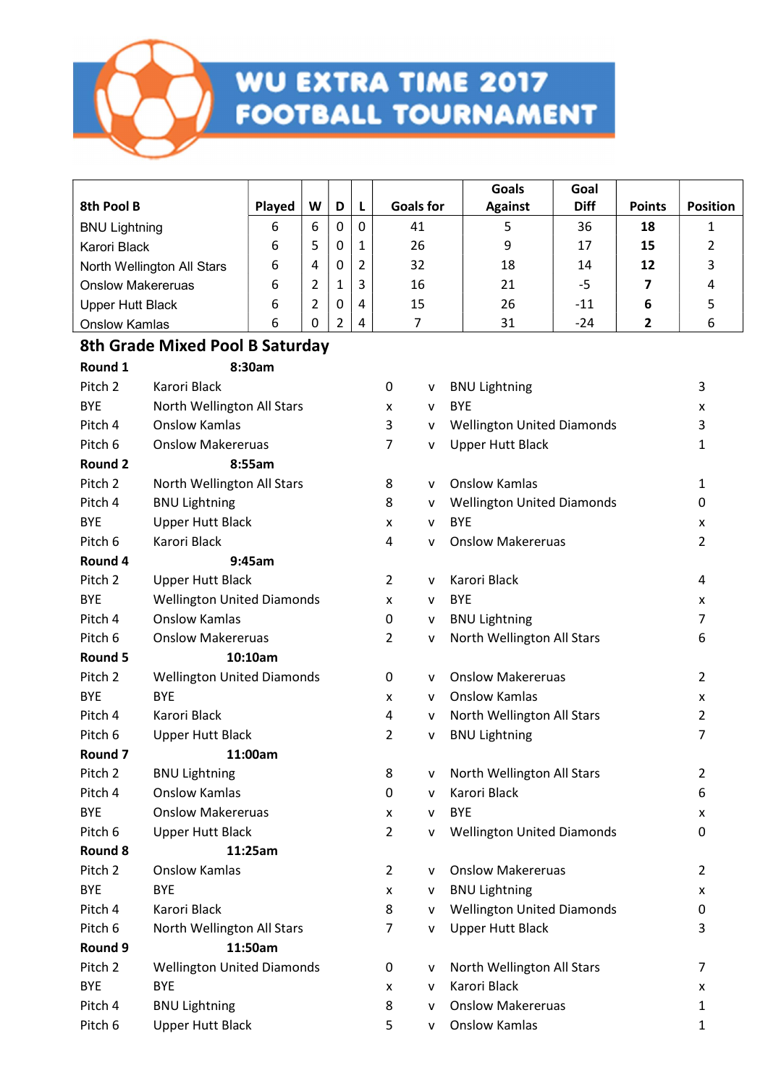

| 8th Pool B                 | Played | W | D |              | <b>Goals for</b> | Goals<br><b>Against</b> | Goal<br><b>Diff</b> | <b>Points</b> | <b>Position</b> |
|----------------------------|--------|---|---|--------------|------------------|-------------------------|---------------------|---------------|-----------------|
| <b>BNU Lightning</b>       | 6      | 6 | 0 | $\mathbf{0}$ | 41               | 5                       | 36                  | 18            |                 |
| Karori Black               | 6      | 5 | 0 | $\mathbf{1}$ | 26               | 9                       | 17                  | 15            |                 |
| North Wellington All Stars | 6      | 4 |   | 2            | 32               | 18                      | 14                  | 12            |                 |
| <b>Onslow Makereruas</b>   | 6      |   |   | 3            | 16               | 21                      | -5                  |               |                 |
| Upper Hutt Black           | 6      |   |   | 4            | 15               | 26                      | $-11$               | 6             |                 |
| <b>Onslow Kamlas</b>       | 6      | 0 |   | 4            |                  | 31                      | $-24$               |               |                 |

### 8th Grade Mixed Pool B Saturday

| Round 1            | 8:30am                            |                |   |                                   |                |
|--------------------|-----------------------------------|----------------|---|-----------------------------------|----------------|
| Pitch 2            | Karori Black                      | 0              | v | <b>BNU Lightning</b>              | 3              |
| <b>BYE</b>         | North Wellington All Stars        | X              | v | <b>BYE</b>                        | X              |
| Pitch 4            | <b>Onslow Kamlas</b>              | 3              | v | <b>Wellington United Diamonds</b> | 3              |
| Pitch 6            | <b>Onslow Makereruas</b>          | 7              | v | <b>Upper Hutt Black</b>           | 1              |
| Round 2            | 8:55am                            |                |   |                                   |                |
| Pitch 2            | North Wellington All Stars        | 8              | v | <b>Onslow Kamlas</b>              | $\mathbf{1}$   |
| Pitch 4            | <b>BNU Lightning</b>              | 8              | v | <b>Wellington United Diamonds</b> | $\mathbf 0$    |
| <b>BYE</b>         | <b>Upper Hutt Black</b>           | x              | v | <b>BYE</b>                        | X              |
| Pitch 6            | Karori Black                      | 4              | v | <b>Onslow Makereruas</b>          | $\overline{2}$ |
| Round 4            | 9:45am                            |                |   |                                   |                |
| Pitch 2            | <b>Upper Hutt Black</b>           | $\overline{2}$ | ۷ | Karori Black                      | 4              |
| <b>BYE</b>         | <b>Wellington United Diamonds</b> | x              | v | <b>BYE</b>                        | X              |
| Pitch 4            | <b>Onslow Kamlas</b>              | 0              | v | <b>BNU Lightning</b>              | $\overline{7}$ |
| Pitch 6            | <b>Onslow Makereruas</b>          | 2              | v | North Wellington All Stars        | 6              |
| Round 5            | 10:10am                           |                |   |                                   |                |
| Pitch 2            | <b>Wellington United Diamonds</b> | 0              | v | <b>Onslow Makereruas</b>          | $\overline{2}$ |
| <b>BYE</b>         | <b>BYE</b>                        | x              | v | <b>Onslow Kamlas</b>              | X              |
| Pitch 4            | Karori Black                      | 4              | v | North Wellington All Stars        | $\overline{2}$ |
| Pitch 6            | <b>Upper Hutt Black</b>           | $\overline{2}$ | v | <b>BNU Lightning</b>              | 7              |
| Round 7            | 11:00am                           |                |   |                                   |                |
| Pitch <sub>2</sub> | <b>BNU Lightning</b>              | 8              | v | North Wellington All Stars        | $\overline{2}$ |
| Pitch 4            | <b>Onslow Kamlas</b>              | 0              | v | Karori Black                      | 6              |
| <b>BYE</b>         | <b>Onslow Makereruas</b>          | x              | v | <b>BYE</b>                        | X              |
| Pitch 6            | <b>Upper Hutt Black</b>           | $\overline{2}$ | v | <b>Wellington United Diamonds</b> | $\mathbf 0$    |
| Round 8            | 11:25am                           |                |   |                                   |                |
| Pitch 2            | <b>Onslow Kamlas</b>              | $\overline{2}$ | v | <b>Onslow Makereruas</b>          | $\overline{2}$ |
| <b>BYE</b>         | <b>BYE</b>                        | x              | v | <b>BNU Lightning</b>              | X              |
| Pitch 4            | Karori Black                      | 8              | v | <b>Wellington United Diamonds</b> | 0              |
| Pitch 6            | North Wellington All Stars        | 7              | v | <b>Upper Hutt Black</b>           | 3              |
| Round 9            | 11:50am                           |                |   |                                   |                |
| Pitch 2            | <b>Wellington United Diamonds</b> | 0              | v | North Wellington All Stars        | 7              |
| <b>BYE</b>         | <b>BYE</b>                        | x              | v | Karori Black                      | X              |
| Pitch 4            | <b>BNU Lightning</b>              | 8              | v | <b>Onslow Makereruas</b>          | 1              |
| Pitch 6            | <b>Upper Hutt Black</b>           | 5              | v | <b>Onslow Kamlas</b>              | 1              |
|                    |                                   |                |   |                                   |                |